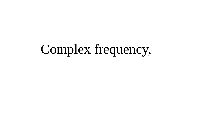# Complex frequency,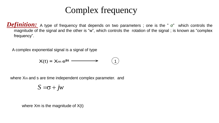# Complex frequency

**Definition:** A type of frequency that depends on two parameters; one is the " σ" which controls the magnitude of the signal and the other is "w", which controls the rotation of the signal ; is known as "complex frequency".

A complex exponential signal is a signal of type

$$
X(t) = X_m e^{st} \longrightarrow (1)
$$

where X<sub>m</sub> and s are time independent complex parameter. and

 $S = \sigma + jw$ 

where Xm is the magnitude of X(t)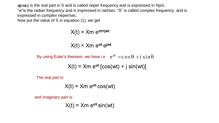$sigma$  is the real part in S and is called neper frequency and is expressed in Np/s.

"w"is the radian frequency and is expressed in rad/sec. "S" is called complex frequency and is expressed in complex neper/sec.

Now put the value of S in equation (1), we get

$$
X(t) = Xm e^{\sigma t + jwt}
$$

$$
X(t) = Xm e^{\sigma t} e^{jwt}
$$

By using Euler's theorem. we have i.e  $\quad{\rm e}^{i\theta}\ ={\rm c}\, {\rm o}\, {\rm s}\, \theta\ + i\, \sin\theta$ 

$$
X(t) = Xm e^{\sigma t} [cos(wt) + j sin(wt)]
$$

The real part is

$$
X(t) = Xm e^{\sigma t} \cos(wt)
$$

and imaginary part is

$$
X(t) = Xm e^{\sigma t} \sin(wt)
$$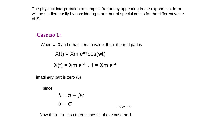The physical interpretation of complex frequency appearing in the exponential form will be studied easily by considering a number of special cases for the different value of S.

### **Case no 1:**

When  $w=0$  and  $\sigma$  has certain value, then, the real part is

 $X(t) = Xm e^{\sigma t} \cos(wt)$ 

$$
X(t) = Xm e^{\sigma t} \cdot 1 = Xm e^{\sigma t}
$$

imaginary part is zero (0)

since

$$
S = \sigma + jw
$$
  

$$
S = \sigma
$$
 as  $w = 0$ 

Now there are also three cases in above case no 1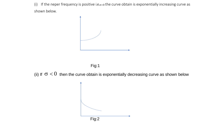(i) If the neper frequency is positive i.e. $\sigma>0$  the curve obtain is exponentially increasing curve as shown below.



Fig:1

(ii) If  $\sigma$  < 0 then the curve obtain is exponentially decreasing curve as shown below

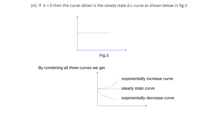(iii) If  $\sigma$  = 0 then the curve obtain is the steady state d.c curve as shown below in fig:3

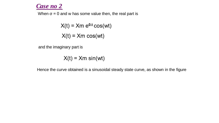## *Case no 2*

When  $\sigma$  = 0 and w has some value then, the real part is

 $X(t) = Xm e^{0.t} \cos(wt)$  $X(t) = Xm \cos(wt)$ 

and the imaginary part is

$$
X(t) = Xm \sin(wt)
$$

Hence the curve obtained is a sinusoidal steady state curve, as shown in the figure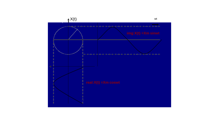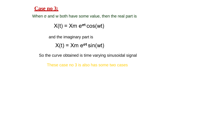#### **Case no 3:**

When σ and w both have some value, then the real part is

 $X(t) = Xm e^{\sigma t} \cos(wt)$ 

and the imaginary part is

 $X(t) = Xm e^{\sigma t} \sin(wt)$ 

So the curve obtained is time varying sinusoidal signal

These case no 3 is also has some two cases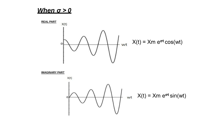# *When σ > 0*



**IMAGINARY PART**

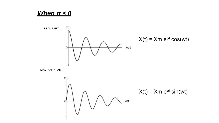# When  $\sigma \leq 0$

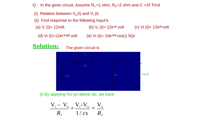- Q : In the given circuit, Assume R<sub>1</sub>=1 ohm, R<sub>2</sub>=2 ohm and C =1F Find
	- (i) Relation between  $V_o(t)$  and  $V_i(t)$
- (ii) Find response to the following Input's
- (a) V**<sup>i</sup>** (t)= 12volt (b) V**i** (t)= 12e**-3t** volt (c) Vi (t)= 12e**i2t** volt
- (d) Vi (t)=12e**(-3+j2)t** volt (e) Vi (t)= 10e**-0.5t** cos(1.5t)v

# **Solution:** The given circuit is



(i) By applying Kcl on above ckt, we have

$$
\frac{\mathbf{V}_i - \mathbf{V}_o}{R_1} + \frac{\mathbf{V}_i - \mathbf{V}_o}{1/cs} = \frac{\mathbf{V}_o}{R_2}
$$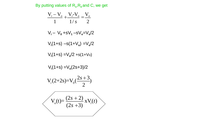By putting values of R<sub>1</sub>, R<sub>2</sub> and C, we get

$$
\frac{V_{i} - V_{o}}{1} + \frac{V_{i} - V_{o}}{1/s} = \frac{V_{o}}{2}
$$
  
\n
$$
V_{i} - V_{o} + sV_{1} - sV_{o} = V_{o}/2
$$
  
\n
$$
V_{i}(1+s) - s(1+V_{o}) = V_{o}/2
$$
  
\n
$$
V_{i}(1+s) = V_{o}/2 + s(1+V_{o})
$$
  
\n
$$
V_{i}(1+s) = V_{o}(2s+3)/2
$$
  
\n
$$
V_{i}(2+2s) = V_{o}(\frac{2s+3}{2})
$$
  
\n
$$
V_{o}(t) = \frac{(2s+2)}{(2s+3)} x V_{i}(t)
$$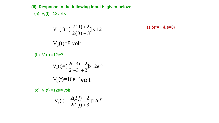**(ii) Response to the following Input is given below:**

as  ${e<sup>o</sup>=1 & 8 = 0}$ 

(a)  $V_i(t) = 12$ volts

$$
V_o(t) = \left[\frac{2(0)+2}{2(0)+3}\right] x 12
$$

 $V<sub>o</sub>(t)=8$  volt

(b)  $V_i(t) = 12e^{-3t}$ 

$$
V_o(t) = \left[\frac{2(-3) + 2}{2(-3) + 3}\right] x 12e^{-3t}
$$

$$
V_o(t) = 16e^{-3t}
$$

(c) V**<sup>i</sup>** (t) =12e**j2t** volt

$$
V_o(t) = \left[\frac{2(2j) + 2}{2(2j) + 3}\right]12e^{j2t}
$$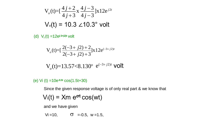$$
V_o(t) = \left[\frac{4j+2}{4j+3}x\frac{4j-3}{4j-3}\right]x12e^{j2t}
$$
  
 
$$
V_o(t) = 10.3 \angle 10.3^\circ \text{ volt}
$$

(d) V**<sup>i</sup>** (t) =12e**(-3+j2)t** volt

$$
V_o(t) = \left[\frac{2(-3+j2)+2}{2(-3+j2)+3}\right] \times 12e^{(-3+j2)t}
$$

$$
V_o(t)=13.57<8.130^{\circ} e^{(-3+j2)t}
$$
 volt

#### (e) Vi (t) =10e**-0.5t** cos(1.5t+30)

Since the given response voltage is of only real part & we know that

$$
V_i(t) = Xm e^{\sigma t} \cos(wt)
$$

and we have given

 $Vi = 10$ ,  $\sigma = -0.5$ ,  $w = 1.5$ ,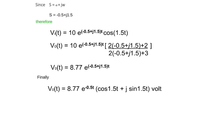Since 
$$
S = \sigma + jw
$$

$$
S = -0.5 + j1.5
$$

therefore

$$
V_i(t) = 10 e^{(-0.5 + j1.5)t} \cos(1.5t)
$$
  
\n
$$
V_0(t) = 10 e^{(-0.5 + j1.5)t} \left[ \frac{2(-0.5 + j1.5) + 2}{2(-0.5 + j1.5) + 3} \right]
$$

 $\overline{\phantom{a}}$ 

$$
V_0(t) = 8.77 e^{(-0.5+j1.5)t}
$$

Finally

$$
V_0(t) = 8.77 e^{-0.5t} (cos 1.5t + j sin 1.5t)
$$
 volt